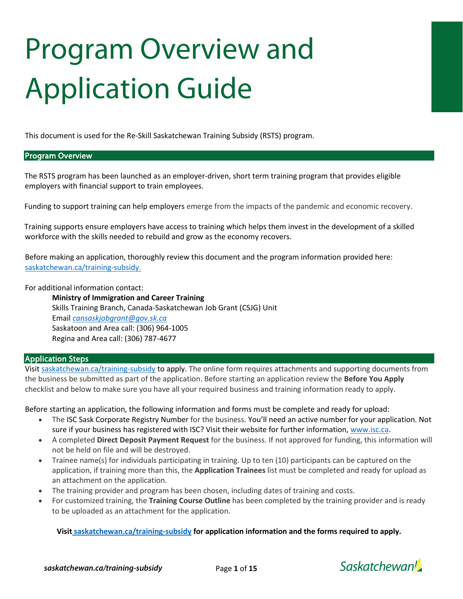# Program Overview and Application Guide

This document is used for the Re-Skill Saskatchewan Training Subsidy (RSTS) program.

#### Program Overview

The RSTS program has been launched as an employer-driven, short term training program that provides eligible employers with financial support to train employees.

Funding to support training can help employers emerge from the impacts of the pandemic and economic recovery.

Training supports ensure employers have access to training which helps them invest in the development of a skilled workforce with the skills needed to rebuild and grow as the economy recovers.

Before making an application, thoroughly review this document and the program information provided here: [saskatchewan.ca/training-subsidy.](https://saskatchewan.ca/training-subsidy)

For additional information contact:

**Ministry of Immigration and Career Training** Skills Training Branch, Canada-Saskatchewan Job Grant (CSJG) Unit Email *[cansaskjobgrant@gov.sk.ca](mailto:cansaskjobgrant@gov.sk.ca)* Saskatoon and Area call: (306) 964-1005 Regina and Area call: (306) 787-4677

#### Application Steps

Visi[t saskatchewan.ca/training-subsidy](http://www.saskatchewan.ca/training-subsidy) to apply. The online form requires attachments and supporting documents from the business be submitted as part of the application. Before starting an application review the **Before You Apply** checklist and below to make sure you have all your required business and training information ready to apply.

Before starting an application, the following information and forms must be complete and ready for upload:

- The ISC Sask Corporate Registry Number for the business. You'll need an active number for your application. Not sure if your business has registered with ISC? Visit their website for further information[, www.isc.ca.](http://www.isc.ca/)
- A completed **Direct Deposit Payment Request** for the business. If not approved for funding, this information will not be held on file and will be destroyed.
- Trainee name(s) for individuals participating in training. Up to ten (10) participants can be captured on the application, if training more than this, the **Application Trainees** list must be completed and ready for upload as an attachment on the application.
- The training provider and program has been chosen, including dates of training and costs.
- For customized training, the **Training Course Outline** has been completed by the training provider and is ready to be uploaded as an attachment for the application.

**Visit [saskatchewan.ca/training-subsidy](http://www.saskatchewan.ca/training-subsidy) for application information and the forms required to apply.**

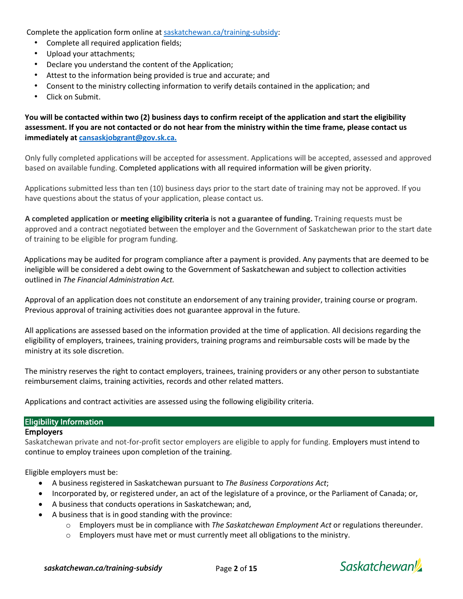Complete the application form online a[t saskatchewan.ca/training-subsidy:](https://saskatchewan.ca/training-subsidy)

- Complete all required application fields;
- Upload your attachments;
- Declare you understand the content of the Application;
- Attest to the information being provided is true and accurate; and
- Consent to the ministry collecting information to verify details contained in the application; and
- Click on Submit.

**You will be contacted within two (2) business days to confirm receipt of the application and start the eligibility assessment. If you are not contacted or do not hear from the ministry within the time frame, please contact us immediately a[t cansaskjobgrant@gov.sk.ca.](mailto:cansaskjobgrant@gov.sk.ca)**

Only fully completed applications will be accepted for assessment. Applications will be accepted, assessed and approved based on available funding. Completed applications with all required information will be given priority.

Applications submitted less than ten (10) business days prior to the start date of training may not be approved. If you have questions about the status of your application, please contact us.

**A completed application or meeting eligibility criteria is not a guarantee of funding.** Training requests must be approved and a contract negotiated between the employer and the Government of Saskatchewan prior to the start date of training to be eligible for program funding.

Applications may be audited for program compliance after a payment is provided. Any payments that are deemed to be ineligible will be considered a debt owing to the Government of Saskatchewan and subject to collection activities outlined in *The Financial Administration Act.*

Approval of an application does not constitute an endorsement of any training provider, training course or program. Previous approval of training activities does not guarantee approval in the future.

All applications are assessed based on the information provided at the time of application. All decisions regarding the eligibility of employers, trainees, training providers, training programs and reimbursable costs will be made by the ministry at its sole discretion.

The ministry reserves the right to contact employers, trainees, training providers or any other person to substantiate reimbursement claims, training activities, records and other related matters.

Applications and contract activities are assessed using the following eligibility criteria.

#### Eligibility Information

#### **Employers**

Saskatchewan private and not-for-profit sector employers are eligible to apply for funding. Employers must intend to continue to employ trainees upon completion of the training.

Eligible employers must be:

- A business registered in Saskatchewan pursuant to *The Business Corporations Act*;
- Incorporated by, or registered under, an act of the legislature of a province, or the Parliament of Canada; or,
- A business that conducts operations in Saskatchewan; and,
- A business that is in good standing with the province:
	- o Employers must be in compliance with *The Saskatchewan Employment Act* or regulations thereunder.
	- $\circ$  Employers must have met or must currently meet all obligations to the ministry.

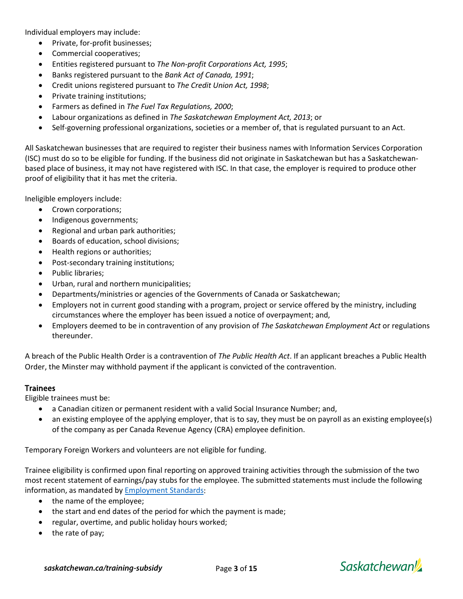Individual employers may include:

- Private, for-profit businesses;
- Commercial cooperatives;
- Entities registered pursuant to *The Non-profit Corporations Act, 1995*;
- Banks registered pursuant to the *Bank Act of Canada, 1991*;
- Credit unions registered pursuant to *The Credit Union Act, 1998*;
- Private training institutions;
- Farmers as defined in *The Fuel Tax Regulations, 2000*;
- Labour organizations as defined in *The Saskatchewan Employment Act, 2013*; or
- Self-governing professional organizations, societies or a member of, that is regulated pursuant to an Act.

All Saskatchewan businesses that are required to register their business names with Information Services Corporation (ISC) must do so to be eligible for funding. If the business did not originate in Saskatchewan but has a Saskatchewanbased place of business, it may not have registered with ISC. In that case, the employer is required to produce other proof of eligibility that it has met the criteria.

Ineligible employers include:

- Crown corporations;
- Indigenous governments;
- Regional and urban park authorities;
- Boards of education, school divisions;
- Health regions or authorities;
- Post-secondary training institutions;
- Public libraries;
- Urban, rural and northern municipalities;
- Departments/ministries or agencies of the Governments of Canada or Saskatchewan;
- Employers not in current good standing with a program, project or service offered by the ministry, including circumstances where the employer has been issued a notice of overpayment; and,
- Employers deemed to be in contravention of any provision of *The Saskatchewan Employment Act* or regulations thereunder.

A breach of the Public Health Order is a contravention of *The Public Health Act*. If an applicant breaches a Public Health Order, the Minster may withhold payment if the applicant is convicted of the contravention.

#### **Trainees**

Eligible trainees must be:

- a Canadian citizen or permanent resident with a valid Social Insurance Number; and,
- an existing employee of the applying employer, that is to say, they must be on payroll as an existing employee(s) of the company as per Canada Revenue Agency (CRA) employee definition.

Temporary Foreign Workers and volunteers are not eligible for funding.

Trainee eligibility is confirmed upon final reporting on approved training activities through the submission of the two most recent statement of earnings/pay stubs for the employee. The submitted statements must include the following information, as mandated by [Employment Standards:](http://www.saskatchewan.ca/business/employment-standards/payment-of-wages-and-payroll-administration/payroll-administration/what-must-appear-on-a-pay-stub)

- the name of the employee;
- the start and end dates of the period for which the payment is made;
- regular, overtime, and public holiday hours worked;
- the rate of pay;

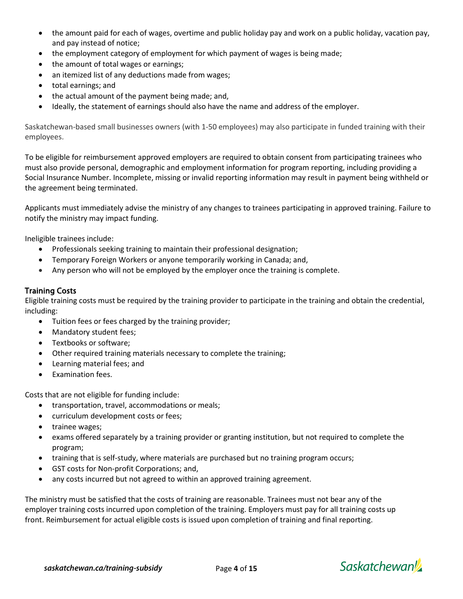- the amount paid for each of wages, overtime and public holiday pay and work on a public holiday, vacation pay, and pay instead of notice;
- the employment category of employment for which payment of wages is being made;
- the amount of total wages or earnings;
- an itemized list of any deductions made from wages;
- total earnings; and
- the actual amount of the payment being made; and,
- Ideally, the statement of earnings should also have the name and address of the employer.

Saskatchewan-based small businesses owners (with 1-50 employees) may also participate in funded training with their employees.

To be eligible for reimbursement approved employers are required to obtain consent from participating trainees who must also provide personal, demographic and employment information for program reporting, including providing a Social Insurance Number. Incomplete, missing or invalid reporting information may result in payment being withheld or the agreement being terminated.

Applicants must immediately advise the ministry of any changes to trainees participating in approved training. Failure to notify the ministry may impact funding.

Ineligible trainees include:

- Professionals seeking training to maintain their professional designation;
- Temporary Foreign Workers or anyone temporarily working in Canada; and,
- Any person who will not be employed by the employer once the training is complete.

#### Training Costs

Eligible training costs must be required by the training provider to participate in the training and obtain the credential, including:

- Tuition fees or fees charged by the training provider;
- Mandatory student fees;
- Textbooks or software;
- Other required training materials necessary to complete the training;
- Learning material fees; and
- Examination fees.

Costs that are not eligible for funding include:

- transportation, travel, accommodations or meals;
- curriculum development costs or fees;
- trainee wages;
- exams offered separately by a training provider or granting institution, but not required to complete the program;
- training that is self-study, where materials are purchased but no training program occurs;
- GST costs for Non-profit Corporations; and,
- any costs incurred but not agreed to within an approved training agreement.

The ministry must be satisfied that the costs of training are reasonable. Trainees must not bear any of the employer training costs incurred upon completion of the training. Employers must pay for all training costs up front. Reimbursement for actual eligible costs is issued upon completion of training and final reporting.



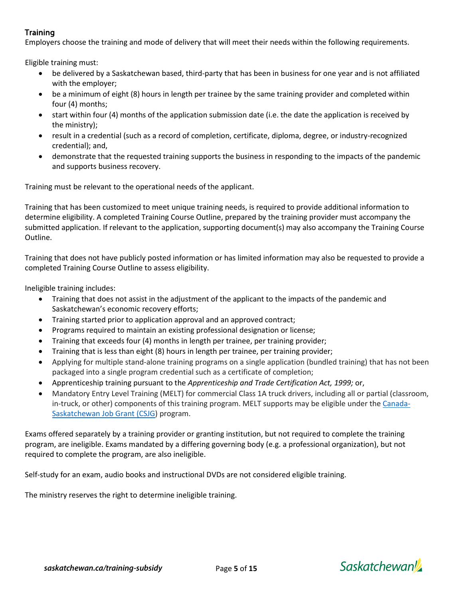# **Training**

Employers choose the training and mode of delivery that will meet their needs within the following requirements.

Eligible training must:

- be delivered by a Saskatchewan based, third-party that has been in business for one year and is not affiliated with the employer;
- be a minimum of eight (8) hours in length per trainee by the same training provider and completed within four (4) months;
- start within four (4) months of the application submission date (i.e. the date the application is received by the ministry);
- result in a credential (such as a record of completion, certificate, diploma, degree, or industry-recognized credential); and,
- demonstrate that the requested training supports the business in responding to the impacts of the pandemic and supports business recovery.

Training must be relevant to the operational needs of the applicant.

Training that has been customized to meet unique training needs, is required to provide additional information to determine eligibility. A completed Training Course Outline, prepared by the training provider must accompany the submitted application. If relevant to the application, supporting document(s) may also accompany the Training Course Outline.

Training that does not have publicly posted information or has limited information may also be requested to provide a completed Training Course Outline to assess eligibility.

Ineligible training includes:

- Training that does not assist in the adjustment of the applicant to the impacts of the pandemic and Saskatchewan's economic recovery efforts;
- Training started prior to application approval and an approved contract;
- Programs required to maintain an existing professional designation or license;
- Training that exceeds four (4) months in length per trainee, per training provider;
- Training that is less than eight (8) hours in length per trainee, per training provider;
- Applying for multiple stand-alone training programs on a single application (bundled training) that has not been packaged into a single program credential such as a certificate of completion;
- Apprenticeship training pursuant to the *Apprenticeship and Trade Certification Act, 1999;* or,
- Mandatory Entry Level Training (MELT) for commercial Class 1A truck drivers, including all or partial (classroom, in-truck, or other) components of this training program. MELT supports may be eligible under the [Canada-](http://www.saskatchewan.ca/job-grant)[Saskatchewan Job Grant \(CSJG\)](http://www.saskatchewan.ca/job-grant) program.

Exams offered separately by a training provider or granting institution, but not required to complete the training program, are ineligible. Exams mandated by a differing governing body (e.g. a professional organization), but not required to complete the program, are also ineligible.

Self-study for an exam, audio books and instructional DVDs are not considered eligible training.

The ministry reserves the right to determine ineligible training.

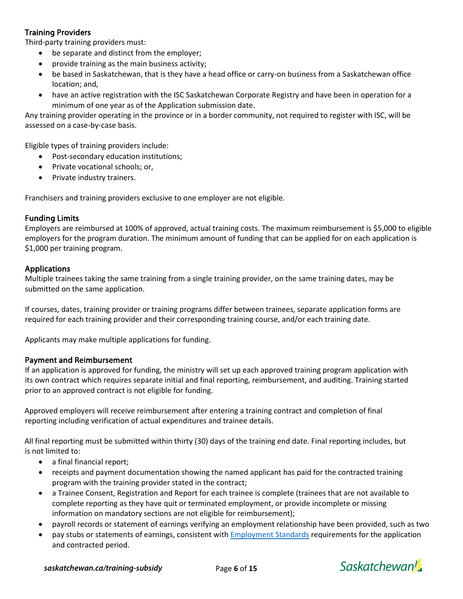## Training Providers

Third-party training providers must:

- be separate and distinct from the employer;
- provide training as the main business activity;
- be based in Saskatchewan, that is they have a head office or carry-on business from a Saskatchewan office location; and,
- have an active registration with the ISC Saskatchewan Corporate Registry and have been in operation for a minimum of one year as of the Application submission date.

Any training provider operating in the province or in a border community, not required to register with ISC, will be assessed on a case-by-case basis.

Eligible types of training providers include:

- Post-secondary education institutions;
- Private vocational schools; or,
- Private industry trainers.

Franchisers and training providers exclusive to one employer are not eligible.

#### Funding Limits

Employers are reimbursed at 100% of approved, actual training costs. The maximum reimbursement is \$5,000 to eligible employers for the program duration. The minimum amount of funding that can be applied for on each application is \$1,000 per training program.

#### Applications

Multiple trainees taking the same training from a single training provider, on the same training dates, may be submitted on the same application.

If courses, dates, training provider or training programs differ between trainees, separate application forms are required for each training provider and their corresponding training course, and/or each training date.

Applicants may make multiple applications for funding.

#### Payment and Reimbursement

If an application is approved for funding, the ministry will set up each approved training program application with its own contract which requires separate initial and final reporting, reimbursement, and auditing. Training started prior to an approved contract is not eligible for funding.

Approved employers will receive reimbursement after entering a training contract and completion of final reporting including verification of actual expenditures and trainee details.

All final reporting must be submitted within thirty (30) days of the training end date. Final reporting includes, but is not limited to:

- a final financial report;
- receipts and payment documentation showing the named applicant has paid for the contracted training program with the training provider stated in the contract;
- a Trainee Consent, Registration and Report for each trainee is complete (trainees that are not available to complete reporting as they have quit or terminated employment, or provide incomplete or missing information on mandatory sections are not eligible for reimbursement);
- payroll records or statement of earnings verifying an employment relationship have been provided, such as two
- pay stubs or statements of earnings, consistent wit[h Employment Standards](https://www.saskatchewan.ca/business/employment-standards/payment-of-wages-and-payroll-administration/payroll-administration/what-must-appear-on-a-pay-stub) requirements for the application and contracted period.

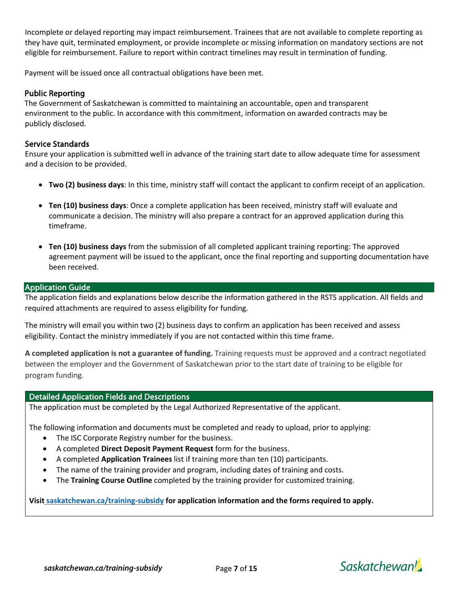Incomplete or delayed reporting may impact reimbursement. Trainees that are not available to complete reporting as they have quit, terminated employment, or provide incomplete or missing information on mandatory sections are not eligible for reimbursement. Failure to report within contract timelines may result in termination of funding.

Payment will be issued once all contractual obligations have been met.

### Public Reporting

The Government of Saskatchewan is committed to maintaining an accountable, open and transparent environment to the public. In accordance with this commitment, information on awarded contracts may be publicly disclosed.

#### Service Standards

Ensure your application is submitted well in advance of the training start date to allow adequate time for assessment and a decision to be provided.

- **Two (2) business days**: In this time, ministry staff will contact the applicant to confirm receipt of an application.
- **Ten (10) business days**: Once a complete application has been received, ministry staff will evaluate and communicate a decision. The ministry will also prepare a contract for an approved application during this timeframe.
- **Ten (10) business days** from the submission of all completed applicant training reporting: The approved agreement payment will be issued to the applicant, once the final reporting and supporting documentation have been received.

#### **Application Guide**

The application fields and explanations below describe the information gathered in the RSTS application. All fields and required attachments are required to assess eligibility for funding.

The ministry will email you within two (2) business days to confirm an application has been received and assess eligibility. Contact the ministry immediately if you are not contacted within this time frame.

**A completed application is not a guarantee of funding.** Training requests must be approved and a contract negotiated between the employer and the Government of Saskatchewan prior to the start date of training to be eligible for program funding.

#### Detailed Application Fields and Descriptions

The application must be completed by the Legal Authorized Representative of the applicant.

The following information and documents must be completed and ready to upload, prior to applying:

- The ISC Corporate Registry number for the business.
- A completed **Direct Deposit Payment Request** form for the business.
- A completed **Application Trainees** list if training more than ten (10) participants.
- The name of the training provider and program, including dates of training and costs.
- The **Training Course Outline** completed by the training provider for customized training.

#### **Visit [saskatchewan.ca/training-subsidy](http://www.saskatchewan.ca/training-subsidy) for application information and the forms required to apply.**



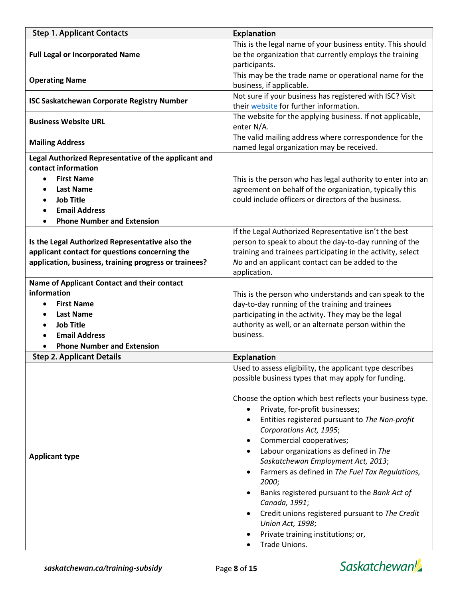| <b>Step 1. Applicant Contacts</b>                         | Explanation                                                                                         |
|-----------------------------------------------------------|-----------------------------------------------------------------------------------------------------|
|                                                           | This is the legal name of your business entity. This should                                         |
| <b>Full Legal or Incorporated Name</b>                    | be the organization that currently employs the training                                             |
|                                                           | participants.                                                                                       |
| <b>Operating Name</b>                                     | This may be the trade name or operational name for the                                              |
|                                                           | business, if applicable.<br>Not sure if your business has registered with ISC? Visit                |
| <b>ISC Saskatchewan Corporate Registry Number</b>         | their website for further information.                                                              |
| <b>Business Website URL</b>                               | The website for the applying business. If not applicable,<br>enter N/A.                             |
| <b>Mailing Address</b>                                    | The valid mailing address where correspondence for the<br>named legal organization may be received. |
| Legal Authorized Representative of the applicant and      |                                                                                                     |
| contact information                                       |                                                                                                     |
| <b>First Name</b><br>$\bullet$                            | This is the person who has legal authority to enter into an                                         |
| <b>Last Name</b>                                          | agreement on behalf of the organization, typically this                                             |
| <b>Job Title</b>                                          | could include officers or directors of the business.                                                |
| <b>Email Address</b><br><b>Phone Number and Extension</b> |                                                                                                     |
|                                                           | If the Legal Authorized Representative isn't the best                                               |
| Is the Legal Authorized Representative also the           | person to speak to about the day-to-day running of the                                              |
| applicant contact for questions concerning the            | training and trainees participating in the activity, select                                         |
| application, business, training progress or trainees?     | No and an applicant contact can be added to the                                                     |
|                                                           | application.                                                                                        |
| Name of Applicant Contact and their contact               |                                                                                                     |
| information                                               | This is the person who understands and can speak to the                                             |
| <b>First Name</b>                                         | day-to-day running of the training and trainees                                                     |
| <b>Last Name</b>                                          | participating in the activity. They may be the legal                                                |
| <b>Job Title</b>                                          | authority as well, or an alternate person within the<br>business.                                   |
| <b>Email Address</b><br><b>Phone Number and Extension</b> |                                                                                                     |
| <b>Step 2. Applicant Details</b>                          | <b>Explanation</b>                                                                                  |
|                                                           | Used to assess eligibility, the applicant type describes                                            |
|                                                           | possible business types that may apply for funding.                                                 |
|                                                           | Choose the option which best reflects your business type.<br>Private, for-profit businesses;        |
|                                                           | Entities registered pursuant to The Non-profit<br>Corporations Act, 1995;                           |
|                                                           | Commercial cooperatives;                                                                            |
| <b>Applicant type</b>                                     | Labour organizations as defined in The                                                              |
|                                                           | Saskatchewan Employment Act, 2013;                                                                  |
|                                                           | Farmers as defined in The Fuel Tax Regulations,<br>2000;                                            |
|                                                           | Banks registered pursuant to the Bank Act of<br>Canada, 1991;                                       |
|                                                           | Credit unions registered pursuant to The Credit<br>Union Act, 1998;                                 |
|                                                           | Private training institutions; or,                                                                  |
|                                                           | Trade Unions.                                                                                       |

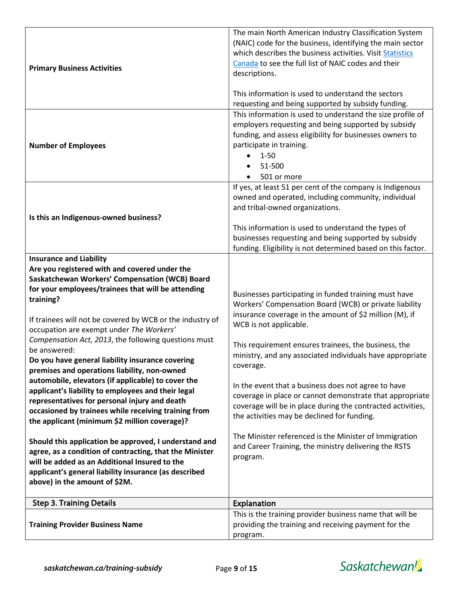| <b>Primary Business Activities</b>                                                                                                                                                                                                                                                                                                                                                                                                                                                                                                                                                                                                                                                                                                                                                                                                                                                                                                                                                                                             | The main North American Industry Classification System<br>(NAIC) code for the business, identifying the main sector<br>which describes the business activities. Visit Statistics<br>Canada to see the full list of NAIC codes and their<br>descriptions.<br>This information is used to understand the sectors<br>requesting and being supported by subsidy funding.                                                                                                                                                                                                                                                                                                                                   |
|--------------------------------------------------------------------------------------------------------------------------------------------------------------------------------------------------------------------------------------------------------------------------------------------------------------------------------------------------------------------------------------------------------------------------------------------------------------------------------------------------------------------------------------------------------------------------------------------------------------------------------------------------------------------------------------------------------------------------------------------------------------------------------------------------------------------------------------------------------------------------------------------------------------------------------------------------------------------------------------------------------------------------------|--------------------------------------------------------------------------------------------------------------------------------------------------------------------------------------------------------------------------------------------------------------------------------------------------------------------------------------------------------------------------------------------------------------------------------------------------------------------------------------------------------------------------------------------------------------------------------------------------------------------------------------------------------------------------------------------------------|
| <b>Number of Employees</b>                                                                                                                                                                                                                                                                                                                                                                                                                                                                                                                                                                                                                                                                                                                                                                                                                                                                                                                                                                                                     | This information is used to understand the size profile of<br>employers requesting and being supported by subsidy<br>funding, and assess eligibility for businesses owners to<br>participate in training.<br>$1 - 50$<br>51-500<br>501 or more                                                                                                                                                                                                                                                                                                                                                                                                                                                         |
| Is this an Indigenous-owned business?                                                                                                                                                                                                                                                                                                                                                                                                                                                                                                                                                                                                                                                                                                                                                                                                                                                                                                                                                                                          | If yes, at least 51 per cent of the company is Indigenous<br>owned and operated, including community, individual<br>and tribal-owned organizations.<br>This information is used to understand the types of<br>businesses requesting and being supported by subsidy<br>funding. Eligibility is not determined based on this factor.                                                                                                                                                                                                                                                                                                                                                                     |
| <b>Insurance and Liability</b><br>Are you registered with and covered under the<br>Saskatchewan Workers' Compensation (WCB) Board<br>for your employees/trainees that will be attending<br>training?<br>If trainees will not be covered by WCB or the industry of<br>occupation are exempt under The Workers'<br>Compensation Act, 2013, the following questions must<br>be answered:<br>Do you have general liability insurance covering<br>premises and operations liability, non-owned<br>automobile, elevators (if applicable) to cover the<br>applicant's liability to employees and their legal<br>representatives for personal injury and death<br>occasioned by trainees while receiving training from<br>the applicant (minimum \$2 million coverage)?<br>Should this application be approved, I understand and<br>agree, as a condition of contracting, that the Minister<br>will be added as an Additional Insured to the<br>applicant's general liability insurance (as described<br>above) in the amount of \$2M. | Businesses participating in funded training must have<br>Workers' Compensation Board (WCB) or private liability<br>insurance coverage in the amount of \$2 million (M), if<br>WCB is not applicable.<br>This requirement ensures trainees, the business, the<br>ministry, and any associated individuals have appropriate<br>coverage.<br>In the event that a business does not agree to have<br>coverage in place or cannot demonstrate that appropriate<br>coverage will be in place during the contracted activities,<br>the activities may be declined for funding.<br>The Minister referenced is the Minister of Immigration<br>and Career Training, the ministry delivering the RSTS<br>program. |
| <b>Step 3. Training Details</b>                                                                                                                                                                                                                                                                                                                                                                                                                                                                                                                                                                                                                                                                                                                                                                                                                                                                                                                                                                                                | <b>Explanation</b>                                                                                                                                                                                                                                                                                                                                                                                                                                                                                                                                                                                                                                                                                     |
| <b>Training Provider Business Name</b>                                                                                                                                                                                                                                                                                                                                                                                                                                                                                                                                                                                                                                                                                                                                                                                                                                                                                                                                                                                         | This is the training provider business name that will be<br>providing the training and receiving payment for the<br>program.                                                                                                                                                                                                                                                                                                                                                                                                                                                                                                                                                                           |

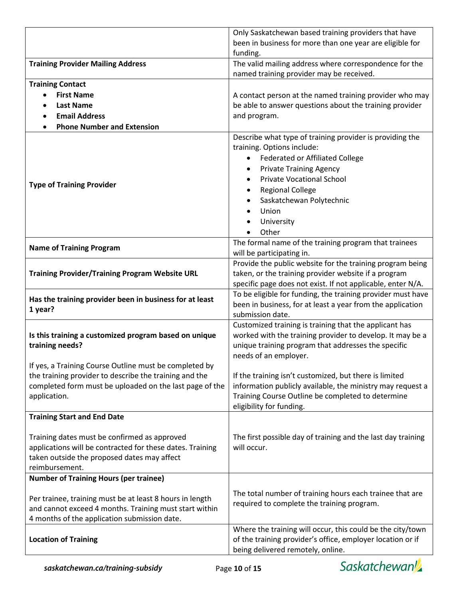|                                                           | Only Saskatchewan based training providers that have                         |
|-----------------------------------------------------------|------------------------------------------------------------------------------|
|                                                           | been in business for more than one year are eligible for                     |
|                                                           | funding.                                                                     |
| <b>Training Provider Mailing Address</b>                  | The valid mailing address where correspondence for the                       |
|                                                           | named training provider may be received.                                     |
| <b>Training Contact</b>                                   |                                                                              |
| <b>First Name</b>                                         | A contact person at the named training provider who may                      |
| <b>Last Name</b>                                          | be able to answer questions about the training provider                      |
| <b>Email Address</b>                                      | and program.                                                                 |
| <b>Phone Number and Extension</b>                         |                                                                              |
|                                                           | Describe what type of training provider is providing the                     |
|                                                           | training. Options include:                                                   |
|                                                           | Federated or Affiliated College                                              |
|                                                           | <b>Private Training Agency</b>                                               |
|                                                           | <b>Private Vocational School</b>                                             |
| <b>Type of Training Provider</b>                          |                                                                              |
|                                                           | <b>Regional College</b>                                                      |
|                                                           | Saskatchewan Polytechnic                                                     |
|                                                           | Union<br>$\bullet$                                                           |
|                                                           | University                                                                   |
|                                                           | Other                                                                        |
| <b>Name of Training Program</b>                           | The formal name of the training program that trainees                        |
|                                                           | will be participating in.                                                    |
|                                                           | Provide the public website for the training program being                    |
| <b>Training Provider/Training Program Website URL</b>     | taken, or the training provider website if a program                         |
|                                                           | specific page does not exist. If not applicable, enter N/A.                  |
| Has the training provider been in business for at least   | To be eligible for funding, the training provider must have                  |
| 1 year?                                                   | been in business, for at least a year from the application                   |
|                                                           | submission date.                                                             |
|                                                           | Customized training is training that the applicant has                       |
| Is this training a customized program based on unique     | worked with the training provider to develop. It may be a                    |
| training needs?                                           | unique training program that addresses the specific<br>needs of an employer. |
| If yes, a Training Course Outline must be completed by    |                                                                              |
| the training provider to describe the training and the    | If the training isn't customized, but there is limited                       |
| completed form must be uploaded on the last page of the   | information publicly available, the ministry may request a                   |
| application.                                              | Training Course Outline be completed to determine                            |
|                                                           | eligibility for funding.                                                     |
| <b>Training Start and End Date</b>                        |                                                                              |
|                                                           |                                                                              |
| Training dates must be confirmed as approved              | The first possible day of training and the last day training                 |
| applications will be contracted for these dates. Training | will occur.                                                                  |
| taken outside the proposed dates may affect               |                                                                              |
| reimbursement.                                            |                                                                              |
| <b>Number of Training Hours (per trainee)</b>             |                                                                              |
|                                                           |                                                                              |
| Per trainee, training must be at least 8 hours in length  | The total number of training hours each trainee that are                     |
| and cannot exceed 4 months. Training must start within    | required to complete the training program.                                   |
| 4 months of the application submission date.              |                                                                              |
|                                                           | Where the training will occur, this could be the city/town                   |
| <b>Location of Training</b>                               | of the training provider's office, employer location or if                   |
|                                                           | being delivered remotely, online.                                            |

Saskatchewan<sup>y</sup>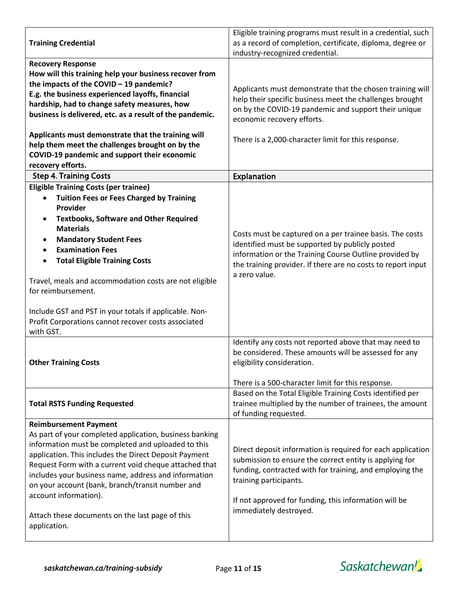|                                                              | Eligible training programs must result in a credential, such                        |
|--------------------------------------------------------------|-------------------------------------------------------------------------------------|
| <b>Training Credential</b>                                   | as a record of completion, certificate, diploma, degree or                          |
|                                                              | industry-recognized credential.                                                     |
| <b>Recovery Response</b>                                     |                                                                                     |
| How will this training help your business recover from       |                                                                                     |
| the impacts of the COVID - 19 pandemic?                      | Applicants must demonstrate that the chosen training will                           |
| E.g. the business experienced layoffs, financial             | help their specific business meet the challenges brought                            |
| hardship, had to change safety measures, how                 | on by the COVID-19 pandemic and support their unique                                |
| business is delivered, etc. as a result of the pandemic.     | economic recovery efforts.                                                          |
|                                                              |                                                                                     |
| Applicants must demonstrate that the training will           | There is a 2,000-character limit for this response.                                 |
| help them meet the challenges brought on by the              |                                                                                     |
| COVID-19 pandemic and support their economic                 |                                                                                     |
| recovery efforts.                                            |                                                                                     |
| <b>Step 4. Training Costs</b>                                | Explanation                                                                         |
| <b>Eligible Training Costs (per trainee)</b>                 |                                                                                     |
| <b>Tuition Fees or Fees Charged by Training</b><br>$\bullet$ |                                                                                     |
| Provider                                                     |                                                                                     |
| <b>Textbooks, Software and Other Required</b><br>٠           |                                                                                     |
| <b>Materials</b>                                             | Costs must be captured on a per trainee basis. The costs                            |
| <b>Mandatory Student Fees</b><br>$\bullet$                   | identified must be supported by publicly posted                                     |
| <b>Examination Fees</b><br>$\bullet$                         | information or the Training Course Outline provided by                              |
| <b>Total Eligible Training Costs</b><br>$\bullet$            | the training provider. If there are no costs to report input                        |
|                                                              | a zero value.                                                                       |
| Travel, meals and accommodation costs are not eligible       |                                                                                     |
| for reimbursement.                                           |                                                                                     |
|                                                              |                                                                                     |
| Include GST and PST in your totals if applicable. Non-       |                                                                                     |
| Profit Corporations cannot recover costs associated          |                                                                                     |
| with GST.                                                    |                                                                                     |
|                                                              | Identify any costs not reported above that may need to                              |
| <b>Other Training Costs</b>                                  | be considered. These amounts will be assessed for any<br>eligibility consideration. |
|                                                              |                                                                                     |
|                                                              | There is a 500-character limit for this response.                                   |
|                                                              | Based on the Total Eligible Training Costs identified per                           |
| <b>Total RSTS Funding Requested</b>                          | trainee multiplied by the number of trainees, the amount                            |
|                                                              | of funding requested.                                                               |
| <b>Reimbursement Payment</b>                                 |                                                                                     |
| As part of your completed application, business banking      |                                                                                     |
| information must be completed and uploaded to this           |                                                                                     |
| application. This includes the Direct Deposit Payment        | Direct deposit information is required for each application                         |
| Request Form with a current void cheque attached that        | submission to ensure the correct entity is applying for                             |
| includes your business name, address and information         | funding, contracted with for training, and employing the                            |
| on your account (bank, branch/transit number and             | training participants.                                                              |
| account information).                                        |                                                                                     |
|                                                              | If not approved for funding, this information will be                               |
| Attach these documents on the last page of this              | immediately destroyed.                                                              |
| application.                                                 |                                                                                     |
|                                                              |                                                                                     |

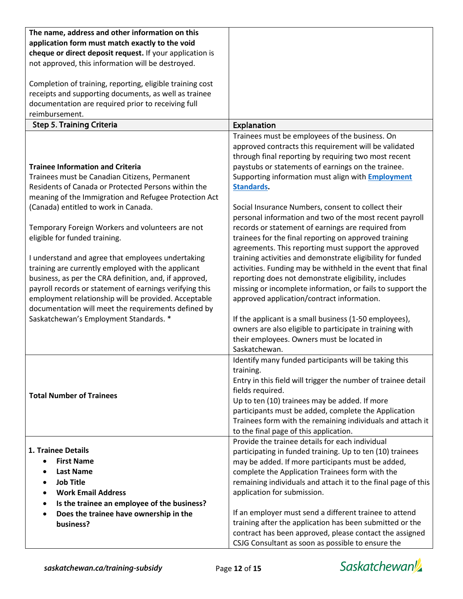| The name, address and other information on this           |                                                               |
|-----------------------------------------------------------|---------------------------------------------------------------|
| application form must match exactly to the void           |                                                               |
|                                                           |                                                               |
| cheque or direct deposit request. If your application is  |                                                               |
| not approved, this information will be destroyed.         |                                                               |
|                                                           |                                                               |
| Completion of training, reporting, eligible training cost |                                                               |
| receipts and supporting documents, as well as trainee     |                                                               |
| documentation are required prior to receiving full        |                                                               |
| reimbursement.                                            |                                                               |
| <b>Step 5. Training Criteria</b>                          | <b>Explanation</b>                                            |
|                                                           | Trainees must be employees of the business. On                |
|                                                           | approved contracts this requirement will be validated         |
|                                                           | through final reporting by requiring two most recent          |
| <b>Trainee Information and Criteria</b>                   | paystubs or statements of earnings on the trainee.            |
| Trainees must be Canadian Citizens, Permanent             | Supporting information must align with <b>Employment</b>      |
| Residents of Canada or Protected Persons within the       | <b>Standards.</b>                                             |
|                                                           |                                                               |
| meaning of the Immigration and Refugee Protection Act     |                                                               |
| (Canada) entitled to work in Canada.                      | Social Insurance Numbers, consent to collect their            |
|                                                           | personal information and two of the most recent payroll       |
| Temporary Foreign Workers and volunteers are not          | records or statement of earnings are required from            |
| eligible for funded training.                             | trainees for the final reporting on approved training         |
|                                                           | agreements. This reporting must support the approved          |
| I understand and agree that employees undertaking         | training activities and demonstrate eligibility for funded    |
| training are currently employed with the applicant        | activities. Funding may be withheld in the event that final   |
| business, as per the CRA definition, and, if approved,    | reporting does not demonstrate eligibility, includes          |
| payroll records or statement of earnings verifying this   | missing or incomplete information, or fails to support the    |
| employment relationship will be provided. Acceptable      | approved application/contract information.                    |
| documentation will meet the requirements defined by       |                                                               |
| Saskatchewan's Employment Standards. *                    | If the applicant is a small business (1-50 employees),        |
|                                                           | owners are also eligible to participate in training with      |
|                                                           | their employees. Owners must be located in                    |
|                                                           | Saskatchewan.                                                 |
|                                                           | Identify many funded participants will be taking this         |
|                                                           | training.                                                     |
|                                                           |                                                               |
|                                                           | Entry in this field will trigger the number of trainee detail |
| <b>Total Number of Trainees</b>                           | fields required.                                              |
|                                                           | Up to ten (10) trainees may be added. If more                 |
|                                                           | participants must be added, complete the Application          |
|                                                           | Trainees form with the remaining individuals and attach it    |
|                                                           | to the final page of this application.                        |
|                                                           | Provide the trainee details for each individual               |
| 1. Trainee Details                                        | participating in funded training. Up to ten (10) trainees     |
| <b>First Name</b><br>$\bullet$                            | may be added. If more participants must be added,             |
| <b>Last Name</b>                                          | complete the Application Trainees form with the               |
| <b>Job Title</b><br>$\bullet$                             | remaining individuals and attach it to the final page of this |
| <b>Work Email Address</b><br>$\bullet$                    | application for submission.                                   |
| Is the trainee an employee of the business?               |                                                               |
| Does the trainee have ownership in the                    | If an employer must send a different trainee to attend        |
| business?                                                 | training after the application has been submitted or the      |
|                                                           | contract has been approved, please contact the assigned       |
|                                                           | CSJG Consultant as soon as possible to ensure the             |

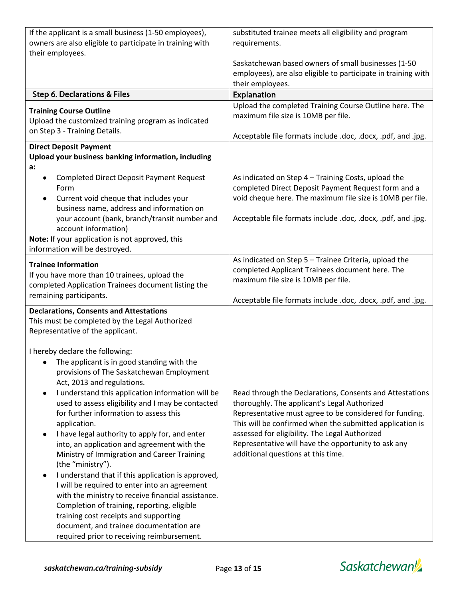| If the applicant is a small business (1-50 employees),<br>substituted trainee meets all eligibility and program                                                            |  |
|----------------------------------------------------------------------------------------------------------------------------------------------------------------------------|--|
| owners are also eligible to participate in training with<br>requirements.<br>their employees.                                                                              |  |
| Saskatchewan based owners of small businesses (1-50                                                                                                                        |  |
| employees), are also eligible to participate in training with                                                                                                              |  |
| their employees.<br><b>Step 6. Declarations &amp; Files</b><br>Explanation                                                                                                 |  |
| Upload the completed Training Course Outline here. The                                                                                                                     |  |
| <b>Training Course Outline</b><br>maximum file size is 10MB per file.<br>Upload the customized training program as indicated                                               |  |
| on Step 3 - Training Details.                                                                                                                                              |  |
| Acceptable file formats include .doc, .docx, .pdf, and .jpg.<br><b>Direct Deposit Payment</b>                                                                              |  |
| Upload your business banking information, including                                                                                                                        |  |
| a:                                                                                                                                                                         |  |
| <b>Completed Direct Deposit Payment Request</b><br>As indicated on Step 4 - Training Costs, upload the<br>٠<br>completed Direct Deposit Payment Request form and a<br>Form |  |
| void cheque here. The maximum file size is 10MB per file.<br>Current void cheque that includes your<br>$\bullet$                                                           |  |
| business name, address and information on                                                                                                                                  |  |
| Acceptable file formats include .doc, .docx, .pdf, and .jpg.<br>your account (bank, branch/transit number and<br>account information)                                      |  |
| Note: If your application is not approved, this                                                                                                                            |  |
| information will be destroyed.                                                                                                                                             |  |
| As indicated on Step 5 - Trainee Criteria, upload the<br><b>Trainee Information</b><br>completed Applicant Trainees document here. The                                     |  |
| If you have more than 10 trainees, upload the<br>maximum file size is 10MB per file.                                                                                       |  |
| completed Application Trainees document listing the<br>remaining participants.                                                                                             |  |
| Acceptable file formats include .doc, .docx, .pdf, and .jpg.<br><b>Declarations, Consents and Attestations</b>                                                             |  |
| This must be completed by the Legal Authorized                                                                                                                             |  |
| Representative of the applicant.                                                                                                                                           |  |
| I hereby declare the following:                                                                                                                                            |  |
| The applicant is in good standing with the                                                                                                                                 |  |
| provisions of The Saskatchewan Employment                                                                                                                                  |  |
| Act, 2013 and regulations.<br>I understand this application information will be<br>Read through the Declarations, Consents and Attestations<br>٠                           |  |
| used to assess eligibility and I may be contacted<br>thoroughly. The applicant's Legal Authorized                                                                          |  |
| for further information to assess this<br>Representative must agree to be considered for funding.                                                                          |  |
| This will be confirmed when the submitted application is<br>application.<br>assessed for eligibility. The Legal Authorized                                                 |  |
| I have legal authority to apply for, and enter<br>٠<br>Representative will have the opportunity to ask any<br>into, an application and agreement with the                  |  |
| additional questions at this time.<br>Ministry of Immigration and Career Training                                                                                          |  |
| (the "ministry").                                                                                                                                                          |  |
| I understand that if this application is approved,<br>٠<br>I will be required to enter into an agreement                                                                   |  |
| with the ministry to receive financial assistance.                                                                                                                         |  |
| Completion of training, reporting, eligible                                                                                                                                |  |
| training cost receipts and supporting<br>document, and trainee documentation are                                                                                           |  |
| required prior to receiving reimbursement.                                                                                                                                 |  |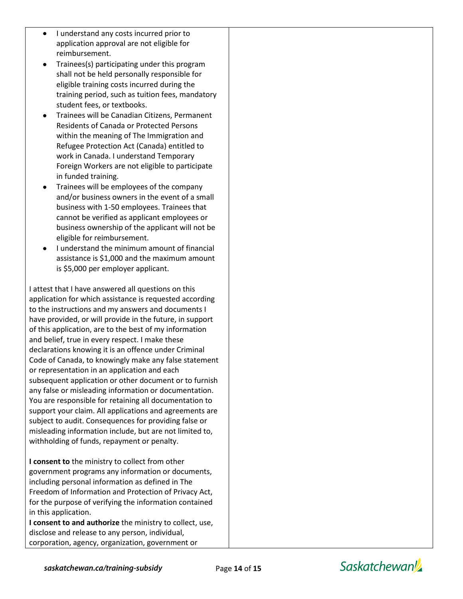- I understand any costs incurred prior to application approval are not eligible for reimbursement.
- Trainees(s) participating under this program shall not be held personally responsible for eligible training costs incurred during the training period, such as tuition fees, mandatory student fees, or textbooks.
- Trainees will be Canadian Citizens, Permanent Residents of Canada or Protected Persons within the meaning of The Immigration and Refugee Protection Act (Canada) entitled to work in Canada. I understand Temporary Foreign Workers are not eligible to participate in funded training.
- Trainees will be employees of the company and/or business owners in the event of a small business with 1-50 employees. Trainees that cannot be verified as applicant employees or business ownership of the applicant will not be eligible for reimbursement.
- I understand the minimum amount of financial assistance is \$1,000 and the maximum amount is \$5,000 per employer applicant.

I attest that I have answered all questions on this application for which assistance is requested according to the instructions and my answers and documents I have provided, or will provide in the future, in support of this application, are to the best of my information and belief, true in every respect. I make these declarations knowing it is an offence under Criminal Code of Canada, to knowingly make any false statement or representation in an application and each subsequent application or other document or to furnish any false or misleading information or documentation. You are responsible for retaining all documentation to support your claim. All applications and agreements are subject to audit. Consequences for providing false or misleading information include, but are not limited to, withholding of funds, repayment or penalty.

**I consent to** the ministry to collect from other government programs any information or documents, including personal information as defined in The Freedom of Information and Protection of Privacy Act, for the purpose of verifying the information contained in this application.

**I consent to and authorize** the ministry to collect, use, disclose and release to any person, individual, corporation, agency, organization, government or